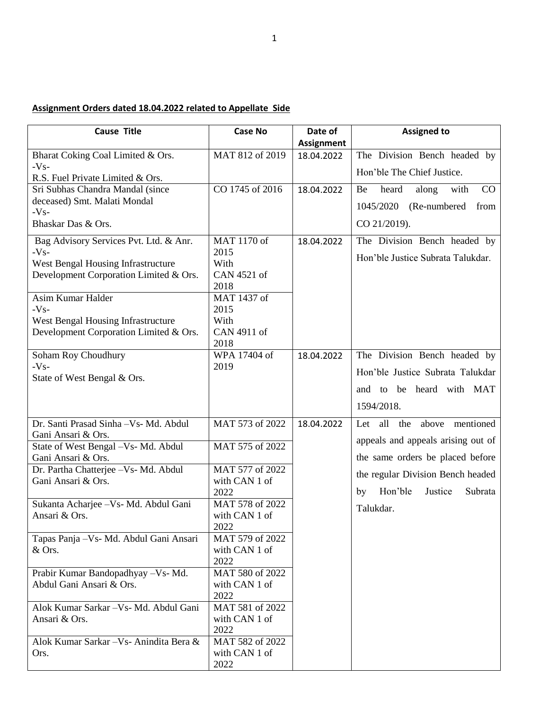## **Assignment Orders dated 18.04.2022 related to Appellate Side**

| <b>Cause Title</b>                                          | <b>Case No</b>          | Date of           | <b>Assigned to</b>                       |
|-------------------------------------------------------------|-------------------------|-------------------|------------------------------------------|
|                                                             |                         | <b>Assignment</b> |                                          |
| Bharat Coking Coal Limited & Ors.<br>$-Vs-$                 | MAT 812 of 2019         | 18.04.2022        | The Division Bench headed by             |
| R.S. Fuel Private Limited & Ors.                            |                         |                   | Hon'ble The Chief Justice.               |
| Sri Subhas Chandra Mandal (since                            | CO 1745 of 2016         | 18.04.2022        | heard<br>along<br>with<br>Be<br>$\rm CO$ |
| deceased) Smt. Malati Mondal                                |                         |                   | 1045/2020<br>(Re-numbered)<br>from       |
| $-Vs-$                                                      |                         |                   |                                          |
| Bhaskar Das & Ors.                                          |                         |                   | CO 21/2019).                             |
| Bag Advisory Services Pvt. Ltd. & Anr.                      | MAT 1170 of             | 18.04.2022        | The Division Bench headed by             |
| $-Vs-$<br>West Bengal Housing Infrastructure                | 2015<br>With            |                   | Hon'ble Justice Subrata Talukdar.        |
| Development Corporation Limited & Ors.                      | CAN 4521 of             |                   |                                          |
|                                                             | 2018                    |                   |                                          |
| Asim Kumar Halder                                           | MAT 1437 of             |                   |                                          |
| $-Vs-$                                                      | 2015                    |                   |                                          |
| West Bengal Housing Infrastructure                          | With                    |                   |                                          |
| Development Corporation Limited & Ors.                      | CAN 4911 of<br>2018     |                   |                                          |
| Soham Roy Choudhury                                         | WPA 17404 of            | 18.04.2022        | The Division Bench headed by             |
| $-Vs-$                                                      | 2019                    |                   | Hon'ble Justice Subrata Talukdar         |
| State of West Bengal & Ors.                                 |                         |                   |                                          |
|                                                             |                         |                   | and to be heard with MAT                 |
|                                                             |                         |                   | 1594/2018.                               |
| Dr. Santi Prasad Sinha - Vs- Md. Abdul                      | MAT 573 of 2022         | 18.04.2022        | Let all<br>the<br>above mentioned        |
| Gani Ansari & Ors.                                          |                         |                   | appeals and appeals arising out of       |
| State of West Bengal - Vs- Md. Abdul                        | MAT 575 of 2022         |                   |                                          |
| Gani Ansari & Ors.<br>Dr. Partha Chatterjee - Vs- Md. Abdul | MAT 577 of 2022         |                   | the same orders be placed before         |
| Gani Ansari & Ors.                                          | with CAN 1 of           |                   | the regular Division Bench headed        |
|                                                             | 2022                    |                   | Subrata<br>Hon'ble<br>Justice<br>by      |
| Sukanta Acharjee - Vs - Md. Abdul Gani                      | MAT 578 of 2022         |                   | Talukdar.                                |
| Ansari & Ors.                                               | with CAN 1 of           |                   |                                          |
| Tapas Panja - Vs- Md. Abdul Gani Ansari                     | 2022<br>MAT 579 of 2022 |                   |                                          |
| & Ors.                                                      | with CAN 1 of           |                   |                                          |
|                                                             | 2022                    |                   |                                          |
| Prabir Kumar Bandopadhyay - Vs- Md.                         | MAT 580 of 2022         |                   |                                          |
| Abdul Gani Ansari & Ors.                                    | with CAN 1 of           |                   |                                          |
|                                                             | 2022                    |                   |                                          |
| Alok Kumar Sarkar - Vs- Md. Abdul Gani                      | MAT 581 of 2022         |                   |                                          |
| Ansari & Ors.                                               | with CAN 1 of<br>2022   |                   |                                          |
| Alok Kumar Sarkar - Vs- Anindita Bera &                     | MAT 582 of 2022         |                   |                                          |
| Ors.                                                        | with CAN 1 of           |                   |                                          |
|                                                             | 2022                    |                   |                                          |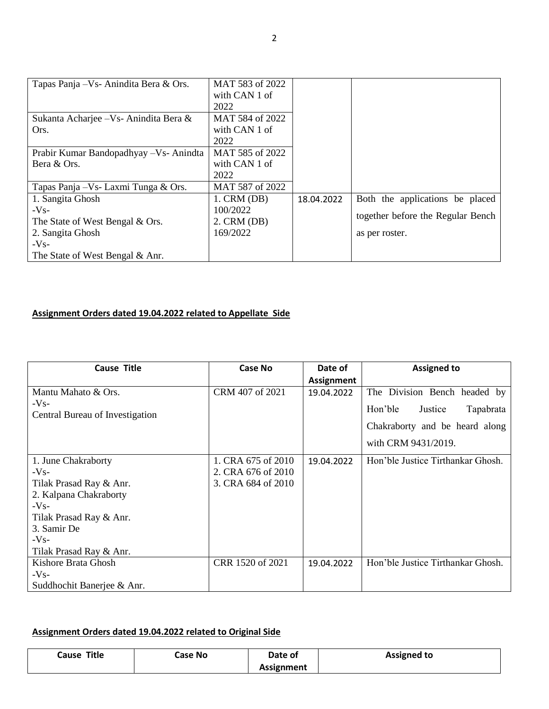| Tapas Panja – Vs- Anindita Bera & Ors.  | MAT 583 of 2022<br>with CAN 1 of<br>2022 |            |                                   |
|-----------------------------------------|------------------------------------------|------------|-----------------------------------|
| Sukanta Acharjee - Vs - Anindita Bera & | MAT 584 of 2022                          |            |                                   |
| Ors.                                    | with CAN 1 of<br>2022                    |            |                                   |
| Prabir Kumar Bandopadhyay - Vs-Anindta  | MAT 585 of 2022                          |            |                                   |
| Bera & Ors.                             | with CAN 1 of                            |            |                                   |
|                                         | 2022                                     |            |                                   |
| Tapas Panja – Vs - Laxmi Tunga & Ors.   | MAT 587 of 2022                          |            |                                   |
| 1. Sangita Ghosh                        | $1.$ CRM $(DB)$                          | 18.04.2022 | Both the applications be placed   |
| $-Vs-$                                  | 100/2022                                 |            |                                   |
| The State of West Bengal & Ors.         | $2.$ CRM (DB)                            |            | together before the Regular Bench |
| 2. Sangita Ghosh                        | 169/2022                                 |            | as per roster.                    |
| $-Vs-$                                  |                                          |            |                                   |
| The State of West Bengal & Anr.         |                                          |            |                                   |

## **Assignment Orders dated 19.04.2022 related to Appellate Side**

| <b>Cause Title</b>              | <b>Case No</b>     | Date of           | <b>Assigned to</b>                |
|---------------------------------|--------------------|-------------------|-----------------------------------|
|                                 |                    | <b>Assignment</b> |                                   |
| Mantu Mahato & Ors.             | CRM 407 of 2021    | 19.04.2022        | The Division Bench headed by      |
| $-Vs-$                          |                    |                   | Hon'ble<br>Justice<br>Tapabrata   |
| Central Bureau of Investigation |                    |                   |                                   |
|                                 |                    |                   | Chakraborty and be heard along    |
|                                 |                    |                   | with CRM 9431/2019.               |
| 1. June Chakraborty             | 1. CRA 675 of 2010 | 19.04.2022        | Hon'ble Justice Tirthankar Ghosh. |
| $-Vs-$                          | 2. CRA 676 of 2010 |                   |                                   |
| Tilak Prasad Ray & Anr.         | 3. CRA 684 of 2010 |                   |                                   |
| 2. Kalpana Chakraborty          |                    |                   |                                   |
| $-Vs-$                          |                    |                   |                                   |
| Tilak Prasad Ray & Anr.         |                    |                   |                                   |
| 3. Samir De                     |                    |                   |                                   |
| $-Vs-$                          |                    |                   |                                   |
| Tilak Prasad Ray & Anr.         |                    |                   |                                   |
| Kishore Brata Ghosh             | CRR 1520 of 2021   | 19.04.2022        | Hon'ble Justice Tirthankar Ghosh. |
| $-Vs-$                          |                    |                   |                                   |
| Suddhochit Banerjee & Anr.      |                    |                   |                                   |

## **Assignment Orders dated 19.04.2022 related to Original Side**

| Title<br>Cause | Case No | Date of    | <b>Assigned to</b> |
|----------------|---------|------------|--------------------|
|                |         | Assignment |                    |